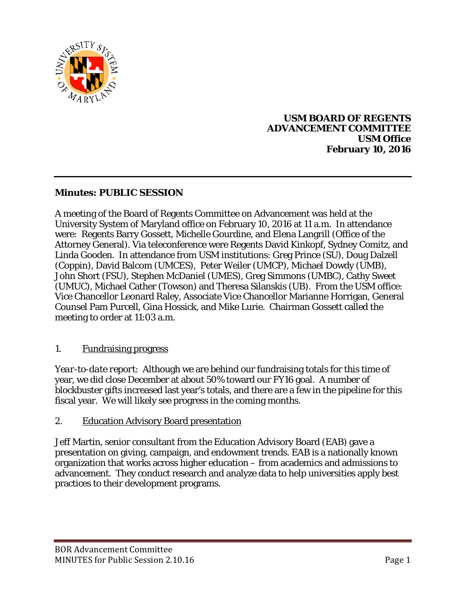

### **USM BOARD OF REGENTS ADVANCEMENT COMMITTEE USM Office February 10, 2016**

## **Minutes: PUBLIC SESSION**

A meeting of the Board of Regents Committee on Advancement was held at the University System of Maryland office on February 10, 2016 at 11 a.m. In attendance were: Regents Barry Gossett, Michelle Gourdine, and Elena Langrill (Office of the Attorney General). Via teleconference were Regents David Kinkopf, Sydney Comitz, and Linda Gooden. In attendance from USM institutions: Greg Prince (SU), Doug Dalzell (Coppin), David Balcom (UMCES), Peter Weiler (UMCP), Michael Dowdy (UMB), John Short (FSU), Stephen McDaniel (UMES), Greg Simmons (UMBC), Cathy Sweet (UMUC), Michael Cather (Towson) and Theresa Silanskis (UB). From the USM office: Vice Chancellor Leonard Raley, Associate Vice Chancellor Marianne Horrigan, General Counsel Pam Purcell, Gina Hossick, and Mike Lurie. Chairman Gossett called the meeting to order at 11:03 a.m.

## 1. Fundraising progress

*Year-to-date report*: Although we are behind our fundraising totals for this time of year, we did close December at about 50% toward our FY16 goal. A number of blockbuster gifts increased last year's totals, and there are a few in the pipeline for this fiscal year. We will likely see progress in the coming months.

#### 2. Education Advisory Board presentation

Jeff Martin, senior consultant from the Education Advisory Board (EAB) gave a presentation on giving, campaign, and endowment trends. EAB is a nationally known organization that works across higher education – from academics and admissions to advancement. They conduct research and analyze data to help universities apply best practices to their development programs.